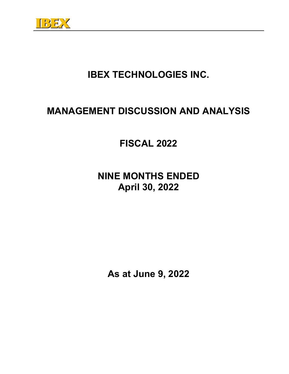

# IBEX TECHNOLOGIES INC.

# MANAGEMENT DISCUSSION AND ANALYSIS

FISCAL 2022

# NINE MONTHS ENDED April 30, 2022

As at June 9, 2022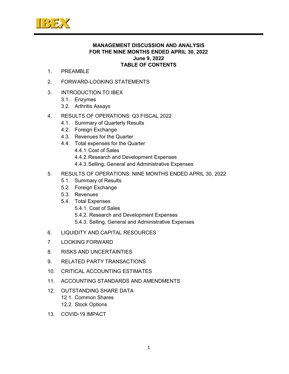

# MANAGEMENT DISCUSSION AND ANALYSIS FOR THE NINE MONTHS ENDED APRIL 30, 2022 June 9, 2022 TABLE OF CONTENTS

- 1. PREAMBLE
- 2 FORWARD-LOOKING STATEMENTS
- 3. INTRODUCTION TO IBEX
	- 3.1. Enzymes
	- 3.2. Arthritis Assays
- 4. RESULTS OF OPERATIONS: Q3 FISCAL 2022
	- 4.1. Summary of Quarterly Results
	- 4.2. Foreign Exchange
	- 4.3. Revenues for the Quarter
	- 4.4. Total expenses for the Quarter
		- 4.4.1. Cost of Sales
		- 4.4.2. Research and Development Expenses
		- 4.4.3. Selling, General and Administrative Expenses
- 5. RESULTS OF OPERATIONS: NINE MONTHS ENDED APRIL 30, 2022
	- 5.1. Summary of Results
	- 5.2. Foreign Exchange
	- 5.3. Revenues
	- 5.4. Total Expenses
		- 5.4.1. Cost of Sales
		- 5.4.2. Research and Development Expenses
		- 5.4.3. Selling, General and Administrative Expenses
- 6. LIQUIDITY AND CAPITAL RESOURCES
- 7. LOOKING FORWARD
- 8. RISKS AND UNCERTAINTIES
- 9. RELATED PARTY TRANSACTIONS
- 10. CRITICAL ACCOUNTING ESTIMATES
- 11. ACCOUNTING STANDARDS AND AMENDMENTS
- 12. OUTSTANDING SHARE DATA 12.1. Common Shares 12.2. Stock Options
- 13. COVID-19 IMPACT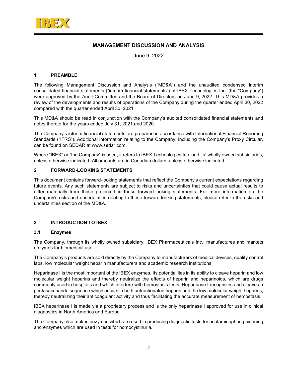

## MANAGEMENT DISCUSSION AND ANALYSIS

June 9, 2022

### 1 PREAMBLE

The following Management Discussion and Analysis ("MD&A") and the unaudited condensed interim consolidated financial statements ("interim financial statements") of IBEX Technologies Inc. (the "Company") were approved by the Audit Committee and the Board of Directors on June 9, 2022. This MD&A provides a review of the developments and results of operations of the Company during the quarter ended April 30, 2022 compared with the quarter ended April 30, 2021.

This MD&A should be read in conjunction with the Company's audited consolidated financial statements and notes thereto for the years ended July 31, 2021 and 2020.

The Company's interim financial statements are prepared in accordance with International Financial Reporting Standards ("IFRS"). Additional information relating to the Company, including the Company's Proxy Circular, can be found on SEDAR at www.sedar.com.

Where "IBEX" or "the Company" is used, it refers to IBEX Technologies Inc. and its' wholly owned subsidiaries, unless otherwise indicated. All amounts are in Canadian dollars, unless otherwise indicated.

#### 2 FORWARD-LOOKING STATEMENTS

This document contains forward-looking statements that reflect the Company's current expectations regarding future events. Any such statements are subject to risks and uncertainties that could cause actual results to differ materially from those projected in these forward-looking statements. For more information on the Company's risks and uncertainties relating to these forward-looking statements, please refer to the risks and uncertainties section of the MD&A.

## 3 INTRODUCTION TO IBEX

#### 3.1 Enzymes

The Company, through its wholly owned subsidiary, IBEX Pharmaceuticals Inc., manufactures and markets enzymes for biomedical use.

The Company's products are sold directly by the Company to manufacturers of medical devices, quality control labs, low molecular weight heparin manufacturers and academic research institutions.

Heparinase I is the most important of the IBEX enzymes. Its potential lies in its ability to cleave heparin and low molecular weight heparins and thereby neutralize the effects of heparin and heparinoids, which are drugs commonly used in hospitals and which interfere with hemostasis tests. Heparinase I recognizes and cleaves a pentasaccharide sequence which occurs in both unfractionated heparin and the low molecular weight heparins, thereby neutralizing their anticoagulant activity and thus facilitating the accurate measurement of hemostasis.

IBEX heparinase I is made via a proprietary process and is the only heparinase I approved for use in clinical diagnostics in North America and Europe.

The Company also makes enzymes which are used in producing diagnostic tests for acetaminophen poisoning and enzymes which are used in tests for homocystinuria.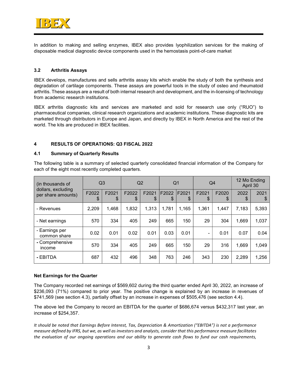

In addition to making and selling enzymes, IBEX also provides lyophilization services for the making of disposable medical diagnostic device components used in the hemostasis point-of-care market

## 3.2 Arthritis Assays

IBEX develops, manufactures and sells arthritis assay kits which enable the study of both the synthesis and degradation of cartilage components. These assays are powerful tools in the study of osteo and rheumatoid arthritis. These assays are a result of both internal research and development, and the in-licensing of technology from academic research institutions.

IBEX arthritis diagnostic kits and services are marketed and sold for research use only ("RUO") to pharmaceutical companies, clinical research organizations and academic institutions. These diagnostic kits are marketed through distributors in Europe and Japan, and directly by IBEX in North America and the rest of the world. The kits are produced in IBEX facilities.

## 4 RESULTS OF OPERATIONS: Q3 FISCAL 2022

#### 4.1 Summary of Quarterly Results

The following table is a summary of selected quarterly consolidated financial information of the Company for each of the eight most recently completed quarters.

| (in thousands of                         |             | Q <sub>3</sub> |             | Q2          |             | Q <sub>1</sub> |                          | Q4          | 12 Mo Ending<br>April 30 |                  |
|------------------------------------------|-------------|----------------|-------------|-------------|-------------|----------------|--------------------------|-------------|--------------------------|------------------|
| dollars, excluding<br>per share amounts) | F2022<br>\$ | F2021<br>\$    | F2022<br>\$ | F2021<br>\$ | F2022<br>\$ | F2021<br>\$    | F2021<br>\$              | F2020<br>\$ | 2022<br>\$               | 2021<br><b>S</b> |
| - Revenues                               | 2,209       | 1,468          | 1,832       | 1,313       | 1,781       | 1,165          | 1,361                    | 1,447       | 7,183                    | 5,393            |
| - Net earnings                           | 570         | 334            | 405         | 249         | 665         | 150            | 29                       | 304         | 1,669                    | 1,037            |
| - Earnings per<br>common share           | 0.02        | 0.01           | 0.02        | 0.01        | 0.03        | 0.01           | $\overline{\phantom{0}}$ | 0.01        | 0.07                     | 0.04             |
| - Comprehensive<br>income                | 570         | 334            | 405         | 249         | 665         | 150            | 29                       | 316         | 1,669                    | 1,049            |
| - EBITDA                                 | 687         | 432            | 496         | 348         | 763         | 246            | 343                      | 230         | 2,289                    | 1,256            |

#### Net Earnings for the Quarter

The Company recorded net earnings of \$569,602 during the third quarter ended April 30, 2022, an increase of \$236,093 (71%) compared to prior year. The positive change is explained by an increase in revenues of \$741,569 (see section 4.3), partially offset by an increase in expenses of \$505,476 (see section 4.4).

The above led the Company to record an EBITDA for the quarter of \$686,674 versus \$432,317 last year, an increase of \$254,357.

It should be noted that Earnings Before Interest, Tax, Depreciation & Amortization ("EBITDA") is not a performance measure defined by IFRS, but we, as well as investors and analysts, consider that this performance measure facilitates the evaluation of our ongoing operations and our ability to generate cash flows to fund our cash requirements,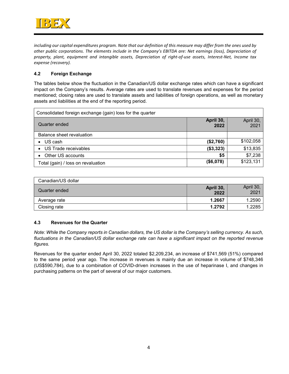

including our capital expenditures program. Note that our definition of this measure may differ from the ones used by other public corporations. The elements include in the Company's EBITDA are: Net earnings (loss), Depreciation of property, plant, equipment and intangible assets, Depreciation of right-of-use assets, Interest-Net, Income tax expense (recovery).

## 4.2 Foreign Exchange

The tables below show the fluctuation in the Canadian/US dollar exchange rates which can have a significant impact on the Company's results. Average rates are used to translate revenues and expenses for the period mentioned; closing rates are used to translate assets and liabilities of foreign operations, as well as monetary assets and liabilities at the end of the reporting period.

| Consolidated foreign exchange (gain) loss for the quarter |                   |                   |
|-----------------------------------------------------------|-------------------|-------------------|
| Quarter ended                                             | April 30,<br>2022 | April 30,<br>2021 |
| Balance sheet revaluation                                 |                   |                   |
| US cash                                                   | (\$2,760)         | \$102,058         |
| • US Trade receivables                                    | (\$3,323)         | \$13,835          |
| • Other US accounts                                       | \$5               | \$7,238           |
| Total (gain) / loss on revaluation                        | (\$6,078)         | \$123,131         |

| Canadian/US dollar |                   |                   |
|--------------------|-------------------|-------------------|
| Quarter ended      | April 30,<br>2022 | April 30,<br>2021 |
| Average rate       | 1.2667            | 1.2590            |
| Closing rate       | 1.2792            | 1.2285            |

## 4.3 Revenues for the Quarter

Note: While the Company reports in Canadian dollars, the US dollar is the Company's selling currency. As such, fluctuations in the Canadian/US dollar exchange rate can have a significant impact on the reported revenue figures.

Revenues for the quarter ended April 30, 2022 totaled \$2,209,234, an increase of \$741,569 (51%) compared to the same period year ago. The increase in revenues is mainly due an increase in volume of \$748,346 (US\$590,784), due to a combination of COVID-driven increases in the use of heparinase I, and changes in purchasing patterns on the part of several of our major customers.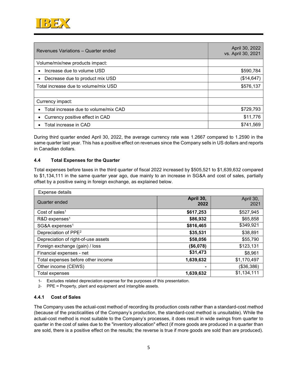

| Revenues Variations - Quarter ended  | April 30, 2022<br>vs. April 30, 2021 |
|--------------------------------------|--------------------------------------|
| Volume/mix/new products impact:      |                                      |
| Increase due to volume USD           | \$590,784                            |
| Decrease due to product mix USD      | (\$14,647)                           |
| Total increase due to volume/mix USD | \$576,137                            |
|                                      |                                      |
| Currency impact:                     |                                      |
| Total increase due to volume/mix CAD | \$729,793                            |
| Currency positive effect in CAD      | \$11,776                             |
| Total increase in CAD                | \$741,569                            |

During third quarter ended April 30, 2022, the average currency rate was 1.2667 compared to 1.2590 in the same quarter last year. This has a positive effect on revenues since the Company sells in US dollars and reports in Canadian dollars.

## 4.4 Total Expenses for the Quarter

Total expenses before taxes in the third quarter of fiscal 2022 increased by \$505,521 to \$1,639,632 compared to \$1,134,111 in the same quarter year ago, due mainly to an increase in SG&A and cost of sales, partially offset by a positive swing in foreign exchange, as explained below.

| Expense details                     |                   |                   |
|-------------------------------------|-------------------|-------------------|
| Quarter ended                       | April 30,<br>2022 | April 30,<br>2021 |
| Cost of sales <sup>1</sup>          | \$617,253         | \$527,945         |
| R&D expenses <sup>1</sup>           | \$86,932          | \$65,858          |
| SG&A expenses <sup>1</sup>          | \$816,465         | \$349,921         |
| Depreciation of PPE <sup>2</sup>    | \$35,531          | \$38,891          |
| Depreciation of right-of-use assets | \$58,056          | \$55,790          |
| Foreign exchange (gain) / loss      | (\$6,078)         | \$123,131         |
| Financial expenses - net            | \$31,473          | \$8,961           |
| Total expenses before other income  | 1,639,632         | \$1,170,497       |
| Other income (CEWS)                 | $\blacksquare$    | (\$36,386)        |
| Total expenses                      | 1,639,632         | \$1,134,111       |

1- Excludes related depreciation expense for the purposes of this presentation.

2- PPE = Property, plant and equipment and intangible assets.

## 4.4.1 Cost of Sales

The Company uses the actual-cost method of recording its production costs rather than a standard-cost method (because of the practicalities of the Company's production, the standard-cost method is unsuitable). While the actual-cost method is most suitable to the Company's processes, it does result in wide swings from quarter to quarter in the cost of sales due to the "inventory allocation" effect (if more goods are produced in a quarter than are sold, there is a positive effect on the results; the reverse is true if more goods are sold than are produced).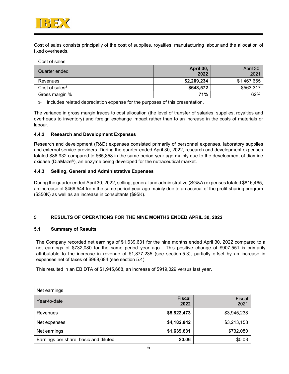

Cost of sales consists principally of the cost of supplies, royalties, manufacturing labour and the allocation of fixed overheads.

| Cost of sales              |                   |                   |
|----------------------------|-------------------|-------------------|
| Quarter ended              | April 30,<br>2022 | April 30,<br>2021 |
| Revenues                   | \$2,209,234       | \$1,467,665       |
| Cost of sales <sup>3</sup> | \$648,572         | \$563,317         |
| Gross margin %             | 71%               | 62%               |

3- Includes related depreciation expense for the purposes of this presentation.

The variance in gross margin traces to cost allocation (the level of transfer of salaries, supplies, royalties and overheads to inventory) and foreign exchange impact rather than to an increase in the costs of materials or labour.

#### 4.4.2 Research and Development Expenses

Research and development (R&D) expenses consisted primarily of personnel expenses, laboratory supplies and external service providers. During the quarter ended April 30, 2022, research and development expenses totaled \$86,932 compared to \$65,858 in the same period year ago mainly due to the development of diamine oxidase (DiaMaze®), an enzyme being developed for the nutraceutical market.

#### 4.4.3 Selling, General and Administrative Expenses

During the quarter ended April 30, 2022, selling, general and administrative (SG&A) expenses totaled \$816,465, an increase of \$466,544 from the same period year ago mainly due to an accrual of the profit sharing program (\$350K) as well as an increase in consultants (\$95K).

## 5 RESULTS OF OPERATIONS FOR THE NINE MONTHS ENDED APRIL 30, 2022

#### 5.1 Summary of Results

The Company recorded net earnings of \$1,639,631 for the nine months ended April 30, 2022 compared to a net earnings of \$732,080 for the same period year ago. This positive change of \$907,551 is primarily attributable to the increase in revenue of \$1,877,235 (see section 5.3), partially offset by an increase in expenses net of taxes of \$969,684 (see section 5.4).

This resulted in an EBIDTA of \$1,945,668, an increase of \$919,029 versus last year.

| Net earnings                          |                       |                |
|---------------------------------------|-----------------------|----------------|
| Year-to-date                          | <b>Fiscal</b><br>2022 | Fiscal<br>2021 |
| Revenues                              | \$5,822,473           | \$3,945,238    |
| Net expenses                          | \$4,182,842           | \$3,213,158    |
| Net earnings                          | \$1,639,631           | \$732,080      |
| Earnings per share, basic and diluted | \$0.06                | \$0.03         |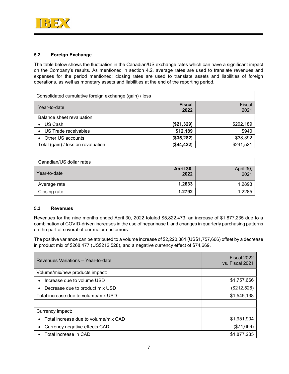

## 5.2 Foreign Exchange

The table below shows the fluctuation in the Canadian/US exchange rates which can have a significant impact on the Company's results. As mentioned in section 4.2, average rates are used to translate revenues and expenses for the period mentioned; closing rates are used to translate assets and liabilities of foreign operations, as well as monetary assets and liabilities at the end of the reporting period.

| Consolidated cumulative foreign exchange (gain) / loss |                       |                |
|--------------------------------------------------------|-----------------------|----------------|
| Year-to-date                                           | <b>Fiscal</b><br>2022 | Fiscal<br>2021 |
| Balance sheet revaluation                              |                       |                |
| • US Cash                                              | (\$21,329)            | \$202,189      |
| • US Trade receivables                                 | \$12,189              | \$940          |
| Other US accounts                                      | (\$35,282)            | \$38,392       |
| Total (gain) / loss on revaluation                     | (\$44, 422)           | \$241,521      |

| Canadian/US dollar rates |                   |                   |
|--------------------------|-------------------|-------------------|
| Year-to-date             | April 30,<br>2022 | April 30,<br>2021 |
| Average rate             | 1.2633            | 1.2893            |
| Closing rate             | 1.2792            | 1.2285            |

## 5.3 Revenues

Revenues for the nine months ended April 30, 2022 totaled \$5,822,473, an increase of \$1,877,235 due to a combination of COVID-driven increases in the use of heparinase I, and changes in quarterly purchasing patterns on the part of several of our major customers.

The positive variance can be attributed to a volume increase of \$2,220,381 (US\$1,757,666) offset by a decrease in product mix of \$268,477 (US\$212,528), and a negative currency effect of \$74,669.

| Revenues Variations - Year-to-date   | Fiscal 2022<br>vs. Fiscal 2021 |
|--------------------------------------|--------------------------------|
| Volume/mix/new products impact:      |                                |
| Increase due to volume USD           | \$1,757,666                    |
| Decrease due to product mix USD      | (\$212,528)                    |
| Total increase due to volume/mix USD | \$1,545,138                    |
|                                      |                                |
| Currency impact:                     |                                |
| Total increase due to volume/mix CAD | \$1,951,904                    |
| Currency negative effects CAD        | (\$74,669)                     |
| Total increase in CAD                | \$1,877,235                    |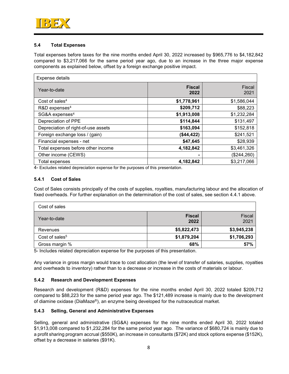

## 5.4 Total Expenses

Total expenses before taxes for the nine months ended April 30, 2022 increased by \$965,776 to \$4,182,842 compared to \$3,217,066 for the same period year ago, due to an increase in the three major expense components as explained below, offset by a foreign exchange positive impact.

| Expense details                     |                       |                |
|-------------------------------------|-----------------------|----------------|
| Year-to-date                        | <b>Fiscal</b><br>2022 | Fiscal<br>2021 |
| Cost of sales <sup>4</sup>          | \$1,778,961           | \$1,586,044    |
| R&D expenses <sup>4</sup>           | \$209,712             | \$88,223       |
| SG&A expenses <sup>4</sup>          | \$1,913,008           | \$1,232,284    |
| Depreciation of PPE                 | \$114,844             | \$131,497      |
| Depreciation of right-of-use assets | \$163,094             | \$152,818      |
| Foreign exchange loss / (gain)      | (\$44,422)            | \$241,521      |
| Financial expenses - net            | \$47,645              | \$28,939       |
| Total expenses before other income  | 4,182,842             | \$3,461,326    |
| Other income (CEWS)                 | $\blacksquare$        | (\$244, 260)   |
| Total expenses                      | 4,182,842             | \$3,217,066    |

4- Excludes related depreciation expense for the purposes of this presentation.

#### 5.4.1 Cost of Sales

Cost of Sales consists principally of the costs of supplies, royalties, manufacturing labour and the allocation of fixed overheads. For further explanation on the determination of the cost of sales, see section 4.4.1 above.

| Cost of sales              |                       |                |
|----------------------------|-----------------------|----------------|
| Year-to-date               | <b>Fiscal</b><br>2022 | Fiscal<br>2021 |
| Revenues                   | \$5,822,473           | \$3,945,238    |
| Cost of sales <sup>5</sup> | \$1,879,204           | \$1,706,293    |
| Gross margin %             | 68%                   | 57%            |

5- Includes related depreciation expense for the purposes of this presentation.

Any variance in gross margin would trace to cost allocation (the level of transfer of salaries, supplies, royalties and overheads to inventory) rather than to a decrease or increase in the costs of materials or labour.

#### 5.4.2 Research and Development Expenses

Research and development (R&D) expenses for the nine months ended April 30, 2022 totaled \$209,712 compared to \$88,223 for the same period year ago. The \$121,489 increase is mainly due to the development of diamine oxidase (DiaMaze®), an enzyme being developed for the nutraceutical market.

#### 5.4.3 Selling, General and Administrative Expenses

Selling, general and administrative (SG&A) expenses for the nine months ended April 30, 2022 totaled \$1,913,008 compared to \$1,232,284 for the same period year ago. The variance of \$680,724 is mainly due to a profit sharing program accrual (\$550K), an increase in consultants (\$72K) and stock options expense (\$152K), offset by a decrease in salaries (\$91K).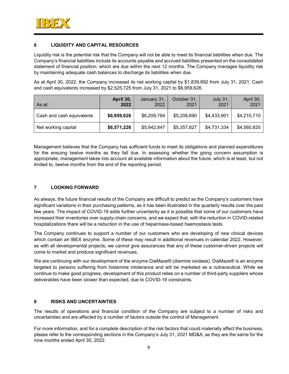

## 6 LIQUIDITY AND CAPITAL RESOURCES

Liquidity risk is the potential risk that the Company will not be able to meet its financial liabilities when due. The Company's financial liabilities include its accounts payable and accrued liabilities presented on the consolidated statement of financial position, which are due within the next 12 months. The Company manages liquidity risk by maintaining adequate cash balances to discharge its liabilities when due.

As at April 30, 2022, the Company increased its net working capital by \$1,839,892 from July 31, 2021. Cash and cash equivalents increased by \$2,525,725 from July 31, 2021 to \$6,959,626.

| As at:                    | April 30,<br>2022 | January 31,<br>2022 | October 31,<br>2021 | <b>July 31,</b><br>2021 | April 30,<br>2021 |
|---------------------------|-------------------|---------------------|---------------------|-------------------------|-------------------|
| Cash and cash equivalents | \$6,959,626       | \$6,209,764         | \$5,208,690         | \$4,433,901             | \$4,210,710       |
| Net working capital       | \$6,571,226       | \$5,942,847         | \$5,357,827         | \$4,731,334             | \$4,560,820       |

Management believes that the Company has sufficient funds to meet its obligations and planned expenditures for the ensuing twelve months as they fall due. In assessing whether the going concern assumption is appropriate, management takes into account all available information about the future, which is at least, but not limited to, twelve months from the end of the reporting period.

## 7 LOOKING FORWARD

As always, the future financial results of the Company are difficult to predict as the Company's customers have significant variations in their purchasing patterns, as it has been illustrated in the quarterly results over the past few years. The impact of COVID-19 adds further uncertainty as it is possible that some of our customers have increased their inventories over supply-chain concerns, and we expect that, with the reduction in COVID-related hospitalizations there will be a reduction in the use of heparinase-based haemostasis tests.

The Company continues to support a number of our customers who are developing of new clinical devices which contain an IBEX enzyme. Some of these may result in additional revenues in calendar 2022. However, as with all developmental projects, we cannot give assurances that any of these customer-driven projects will come to market and produce significant revenues.

We are continuing with our development of the enzyme DiaMaze® (diamine oxidase). DiaMaze® is an enzyme targeted to persons suffering from histamine intolerance and will be marketed as a nutraceutical. While we continue to make good progress, development of this product relies on a number of third-party suppliers whose deliverables have been slower than expected, due to COVID-19 constraints.

## 8 RISKS AND UNCERTAINTIES

The results of operations and financial condition of the Company are subject to a number of risks and uncertainties and are affected by a number of factors outside the control of Management.

For more information, and for a complete description of the risk factors that could materially affect the business, please refer to the corresponding sections in the Company's July 31, 2021 MD&A, as they are the same for the nine months ended April 30, 2022.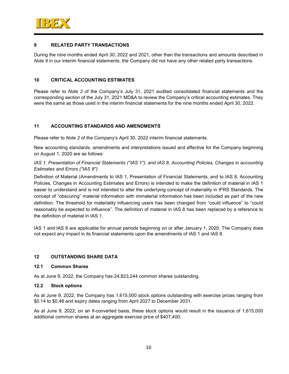

## 9 RELATED PARTY TRANSACTIONS

During the nine months ended April 30, 2022 and 2021, other than the transactions and amounts described in Note 9 in our interim financial statements, the Company did not have any other related party transactions.

### 10 CRITICAL ACCOUNTING ESTIMATES

Please refer to Note 2 of the Company's July 31, 2021 audited consolidated financial statements and the corresponding section of the July 31, 2021 MD&A to review the Company's critical accounting estimates. They were the same as those used in the interim financial statements for the nine months ended April 30, 2022.

## 11 ACCOUNTING STANDARDS AND AMENDMENTS

Please refer to Note 2 of the Company's April 30, 2022 interim financial statements.

New accounting standards, amendments and interpretations issued and effective for the Company beginning on August 1, 2020 are as follows:

IAS 1, Presentation of Financial Statements (''IAS 1''), and IAS 8, Accounting Policies, Changes in accounting Estimates and Errors (''IAS 8'')

Definition of Material (Amendments to IAS 1, Presentation of Financial Statements, and to IAS 8, Accounting Policies, Changes in Accounting Estimates and Errors) is intended to make the definition of material in IAS 1 easier to understand and is not intended to alter the underlying concept of materiality in IFRS Standards. The concept of "obscuring" material information with immaterial information has been included as part of the new definition. The threshold for materiality influencing users has been changed from "could influence" to "could reasonably be expected to influence". The definition of material in IAS 8 has been replaced by a reference to the definition of material in IAS 1.

IAS 1 and IAS 8 are applicable for annual periods beginning on or after January 1, 2020. The Company does not expect any impact in its financial statements upon the amendments of IAS 1 and IAS 8.

## 12 OUTSTANDING SHARE DATA

#### 12.1 Common Shares

As at June 9, 2022, the Company has 24,823,244 common shares outstanding.

#### 12.2 Stock options

As at June 9, 2022, the Company has 1,615,000 stock options outstanding with exercise prices ranging from \$0.14 to \$0.48 and expiry dates ranging from April 2027 to December 2031.

As at June 9, 2022, on an if-converted basis, these stock options would result in the issuance of 1,615,000 additional common shares at an aggregate exercise price of \$407,400.